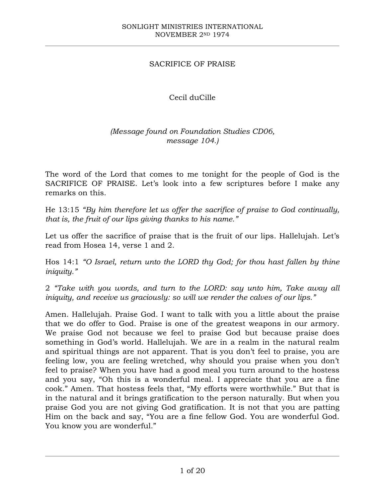## SACRIFICE OF PRAISE

## Cecil duCille

## *(Message found on Foundation Studies CD06, message 104.)*

The word of the Lord that comes to me tonight for the people of God is the SACRIFICE OF PRAISE. Let's look into a few scriptures before I make any remarks on this.

He 13:15 *"By him therefore let us offer the sacrifice of praise to God continually, that is, the fruit of our lips giving thanks to his name."*

Let us offer the sacrifice of praise that is the fruit of our lips. Hallelujah. Let's read from Hosea 14, verse 1 and 2.

Hos 14:1 *"O Israel, return unto the LORD thy God; for thou hast fallen by thine iniquity."*

2 *"Take with you words, and turn to the LORD: say unto him, Take away all iniquity, and receive us graciously: so will we render the calves of our lips."*

Amen. Hallelujah. Praise God. I want to talk with you a little about the praise that we do offer to God. Praise is one of the greatest weapons in our armory. We praise God not because we feel to praise God but because praise does something in God's world. Hallelujah. We are in a realm in the natural realm and spiritual things are not apparent. That is you don't feel to praise, you are feeling low, you are feeling wretched, why should you praise when you don't feel to praise? When you have had a good meal you turn around to the hostess and you say, "Oh this is a wonderful meal. I appreciate that you are a fine cook." Amen. That hostess feels that, "My efforts were worthwhile." But that is in the natural and it brings gratification to the person naturally. But when you praise God you are not giving God gratification. It is not that you are patting Him on the back and say, "You are a fine fellow God. You are wonderful God. You know you are wonderful."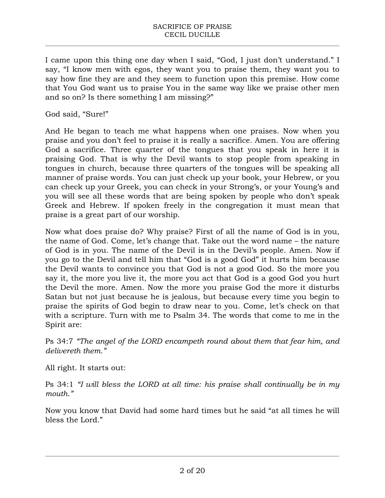I came upon this thing one day when I said, "God, I just don't understand." I say, "I know men with egos, they want you to praise them, they want you to say how fine they are and they seem to function upon this premise. How come that You God want us to praise You in the same way like we praise other men and so on? Is there something I am missing?"

God said, "Sure!"

And He began to teach me what happens when one praises. Now when you praise and you don't feel to praise it is really a sacrifice. Amen. You are offering God a sacrifice. Three quarter of the tongues that you speak in here it is praising God. That is why the Devil wants to stop people from speaking in tongues in church, because three quarters of the tongues will be speaking all manner of praise words. You can just check up your book, your Hebrew, or you can check up your Greek, you can check in your Strong's, or your Young's and you will see all these words that are being spoken by people who don't speak Greek and Hebrew. If spoken freely in the congregation it must mean that praise is a great part of our worship.

Now what does praise do? Why praise? First of all the name of God is in you, the name of God. Come, let's change that. Take out the word name – the nature of God is in you. The name of the Devil is in the Devil's people. Amen. Now if you go to the Devil and tell him that "God is a good God" it hurts him because the Devil wants to convince you that God is not a good God. So the more you say it, the more you live it, the more you act that God is a good God you hurt the Devil the more. Amen. Now the more you praise God the more it disturbs Satan but not just because he is jealous, but because every time you begin to praise the spirits of God begin to draw near to you. Come, let's check on that with a scripture. Turn with me to Psalm 34. The words that come to me in the Spirit are:

Ps 34:7 *"The angel of the LORD encampeth round about them that fear him, and delivereth them."*

All right. It starts out:

Ps 34:1 *"I will bless the LORD at all time: his praise shall continually be in my mouth."*

Now you know that David had some hard times but he said "at all times he will bless the Lord."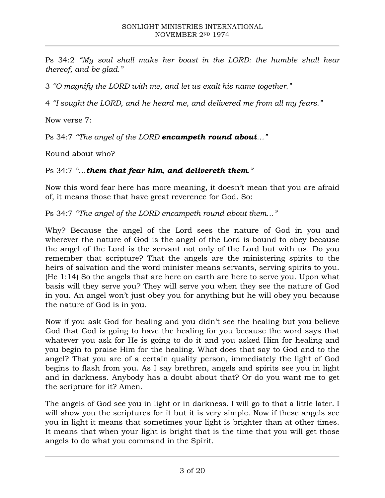Ps 34:2 *"My soul shall make her boast in the LORD: the humble shall hear thereof, and be glad."*

3 *"O magnify the LORD with me, and let us exalt his name together."*

4 *"I sought the LORD, and he heard me, and delivered me from all my fears."*

Now verse 7:

Ps 34:7 *"The angel of the LORD encampeth round about…"*

Round about who?

## Ps 34:7 *"…them that fear him, and delivereth them."*

Now this word fear here has more meaning, it doesn't mean that you are afraid of, it means those that have great reverence for God. So:

Ps 34:7 *"The angel of the LORD encampeth round about them…"*

Why? Because the angel of the Lord sees the nature of God in you and wherever the nature of God is the angel of the Lord is bound to obey because the angel of the Lord is the servant not only of the Lord but with us. Do you remember that scripture? That the angels are the ministering spirits to the heirs of salvation and the word minister means servants, serving spirits to you. (He 1:14) So the angels that are here on earth are here to serve you. Upon what basis will they serve you? They will serve you when they see the nature of God in you. An angel won't just obey you for anything but he will obey you because the nature of God is in you.

Now if you ask God for healing and you didn't see the healing but you believe God that God is going to have the healing for you because the word says that whatever you ask for He is going to do it and you asked Him for healing and you begin to praise Him for the healing. What does that say to God and to the angel? That you are of a certain quality person, immediately the light of God begins to flash from you. As I say brethren, angels and spirits see you in light and in darkness. Anybody has a doubt about that? Or do you want me to get the scripture for it? Amen.

The angels of God see you in light or in darkness. I will go to that a little later. I will show you the scriptures for it but it is very simple. Now if these angels see you in light it means that sometimes your light is brighter than at other times. It means that when your light is bright that is the time that you will get those angels to do what you command in the Spirit.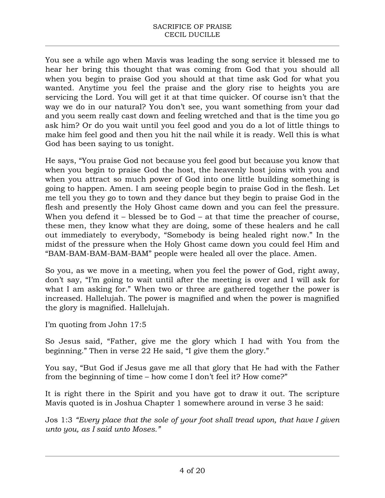You see a while ago when Mavis was leading the song service it blessed me to hear her bring this thought that was coming from God that you should all when you begin to praise God you should at that time ask God for what you wanted. Anytime you feel the praise and the glory rise to heights you are servicing the Lord. You will get it at that time quicker. Of course isn't that the way we do in our natural? You don't see, you want something from your dad and you seem really cast down and feeling wretched and that is the time you go ask him? Or do you wait until you feel good and you do a lot of little things to make him feel good and then you hit the nail while it is ready. Well this is what God has been saying to us tonight.

He says, "You praise God not because you feel good but because you know that when you begin to praise God the host, the heavenly host joins with you and when you attract so much power of God into one little building something is going to happen. Amen. I am seeing people begin to praise God in the flesh. Let me tell you they go to town and they dance but they begin to praise God in the flesh and presently the Holy Ghost came down and you can feel the pressure. When you defend it – blessed be to God – at that time the preacher of course, these men, they know what they are doing, some of these healers and he call out immediately to everybody, "Somebody is being healed right now." In the midst of the pressure when the Holy Ghost came down you could feel Him and "BAM-BAM-BAM-BAM-BAM" people were healed all over the place. Amen.

So you, as we move in a meeting, when you feel the power of God, right away, don't say, "I'm going to wait until after the meeting is over and I will ask for what I am asking for." When two or three are gathered together the power is increased. Hallelujah. The power is magnified and when the power is magnified the glory is magnified. Hallelujah.

I'm quoting from John 17:5

So Jesus said, "Father, give me the glory which I had with You from the beginning." Then in verse 22 He said, "I give them the glory."

You say, "But God if Jesus gave me all that glory that He had with the Father from the beginning of time – how come I don't feel it? How come?"

It is right there in the Spirit and you have got to draw it out. The scripture Mavis quoted is in Joshua Chapter 1 somewhere around in verse 3 he said:

Jos 1:3 *"Every place that the sole of your foot shall tread upon, that have I given unto you, as I said unto Moses."*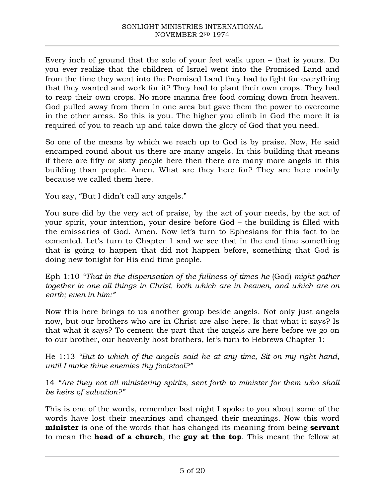Every inch of ground that the sole of your feet walk upon – that is yours. Do you ever realize that the children of Israel went into the Promised Land and from the time they went into the Promised Land they had to fight for everything that they wanted and work for it? They had to plant their own crops. They had to reap their own crops. No more manna free food coming down from heaven. God pulled away from them in one area but gave them the power to overcome in the other areas. So this is you. The higher you climb in God the more it is required of you to reach up and take down the glory of God that you need.

So one of the means by which we reach up to God is by praise. Now, He said encamped round about us there are many angels. In this building that means if there are fifty or sixty people here then there are many more angels in this building than people. Amen. What are they here for? They are here mainly because we called them here.

You say, "But I didn't call any angels."

You sure did by the very act of praise, by the act of your needs, by the act of your spirit, your intention, your desire before God – the building is filled with the emissaries of God. Amen. Now let's turn to Ephesians for this fact to be cemented. Let's turn to Chapter 1 and we see that in the end time something that is going to happen that did not happen before, something that God is doing new tonight for His end-time people.

Eph 1:10 *"That in the dispensation of the fullness of times he (God) might gather together in one all things in Christ, both which are in heaven, and which are on earth; even in him:"*

Now this here brings to us another group beside angels. Not only just angels now, but our brothers who are in Christ are also here. Is that what it says? Is that what it says? To cement the part that the angels are here before we go on to our brother, our heavenly host brothers, let's turn to Hebrews Chapter 1:

He 1:13 *"But to which of the angels said he at any time, Sit on my right hand, until I make thine enemies thy footstool?"*

14 *"Are they not all ministering spirits, sent forth to minister for them who shall be heirs of salvation?"*

This is one of the words, remember last night I spoke to you about some of the words have lost their meanings and changed their meanings. Now this word **minister** is one of the words that has changed its meaning from being **servant** to mean the **head of a church**, the **guy at the top**. This meant the fellow at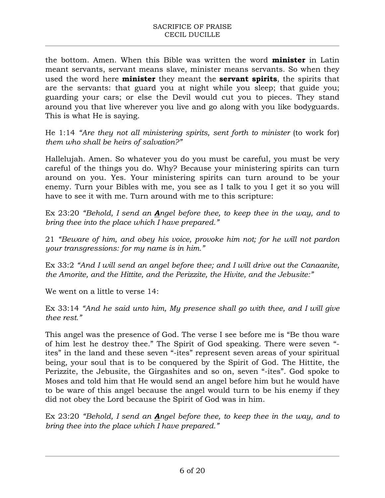the bottom. Amen. When this Bible was written the word **minister** in Latin meant servants, servant means slave, minister means servants. So when they used the word here **minister** they meant the **servant spirits**, the spirits that are the servants: that guard you at night while you sleep; that guide you; guarding your cars; or else the Devil would cut you to pieces. They stand around you that live wherever you live and go along with you like bodyguards. This is what He is saying.

He 1:14 "Are they not all ministering spirits, sent forth to minister (to work for) *them who shall be heirs of salvation?"*

Hallelujah. Amen. So whatever you do you must be careful, you must be very careful of the things you do. Why? Because your ministering spirits can turn around on you. Yes. Your ministering spirits can turn around to be your enemy. Turn your Bibles with me, you see as I talk to you I get it so you will have to see it with me. Turn around with me to this scripture:

Ex 23:20 *"Behold, I send an Angel before thee, to keep thee in the way, and to bring thee into the place which I have prepared."*

21 *"Beware of him, and obey his voice, provoke him not; for he will not pardon your transgressions: for my name is in him."*

Ex 33:2 *"And I will send an angel before thee; and I will drive out the Canaanite, the Amorite, and the Hittite, and the Perizzite, the Hivite, and the Jebusite:"*

We went on a little to verse 14:

Ex 33:14 *"And he said unto him, My presence shall go with thee, and I will give thee rest."*

This angel was the presence of God. The verse I see before me is "Be thou ware of him lest he destroy thee." The Spirit of God speaking. There were seven " ites" in the land and these seven "-ites" represent seven areas of your spiritual being, your soul that is to be conquered by the Spirit of God. The Hittite, the Perizzite, the Jebusite, the Girgashites and so on, seven "-ites". God spoke to Moses and told him that He would send an angel before him but he would have to be ware of this angel because the angel would turn to be his enemy if they did not obey the Lord because the Spirit of God was in him.

Ex 23:20 *"Behold, I send an Angel before thee, to keep thee in the way, and to bring thee into the place which I have prepared."*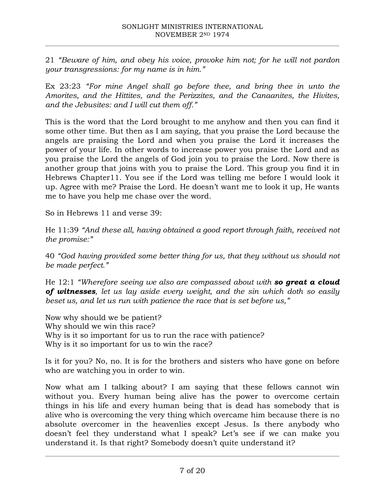21 *"Beware of him, and obey his voice, provoke him not; for he will not pardon your transgressions: for my name is in him."*

Ex 23:23 *"For mine Angel shall go before thee, and bring thee in unto the Amorites, and the Hittites, and the Perizzites, and the Canaanites, the Hivites, and the Jebusites: and I will cut them off."*

This is the word that the Lord brought to me anyhow and then you can find it some other time. But then as I am saying, that you praise the Lord because the angels are praising the Lord and when you praise the Lord it increases the power of your life. In other words to increase power you praise the Lord and as you praise the Lord the angels of God join you to praise the Lord. Now there is another group that joins with you to praise the Lord. This group you find it in Hebrews Chapter11. You see if the Lord was telling me before I would look it up. Agree with me? Praise the Lord. He doesn't want me to look it up, He wants me to have you help me chase over the word.

So in Hebrews 11 and verse 39:

He 11:39 *"And these all, having obtained a good report through faith, received not the promise:"*

40 *"God having provided some better thing for us, that they without us should not be made perfect."*

He 12:1 *"Wherefore seeing we also are compassed about with so great a cloud of witnesses, let us lay aside every weight, and the sin which doth so easily beset us, and let us run with patience the race that is set before us,"*

Now why should we be patient? Why should we win this race? Why is it so important for us to run the race with patience? Why is it so important for us to win the race?

Is it for you? No, no. It is for the brothers and sisters who have gone on before who are watching you in order to win.

Now what am I talking about? I am saying that these fellows cannot win without you. Every human being alive has the power to overcome certain things in his life and every human being that is dead has somebody that is alive who is overcoming the very thing which overcame him because there is no absolute overcomer in the heavenlies except Jesus. Is there anybody who doesn't feel they understand what I speak? Let's see if we can make you understand it. Is that right? Somebody doesn't quite understand it?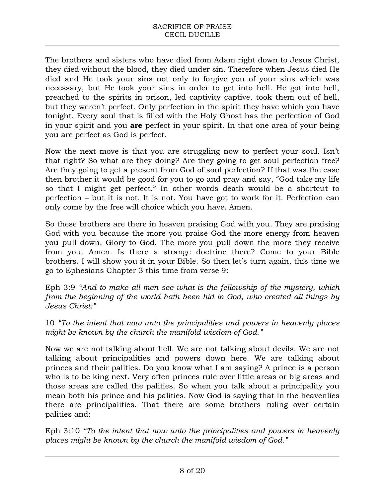The brothers and sisters who have died from Adam right down to Jesus Christ, they died without the blood, they died under sin. Therefore when Jesus died He died and He took your sins not only to forgive you of your sins which was necessary, but He took your sins in order to get into hell. He got into hell, preached to the spirits in prison, led captivity captive, took them out of hell, but they weren't perfect. Only perfection in the spirit they have which you have tonight. Every soul that is filled with the Holy Ghost has the perfection of God in your spirit and you **are** perfect in your spirit. In that one area of your being you are perfect as God is perfect.

Now the next move is that you are struggling now to perfect your soul. Isn't that right? So what are they doing? Are they going to get soul perfection free? Are they going to get a present from God of soul perfection? If that was the case then brother it would be good for you to go and pray and say, "God take my life so that I might get perfect." In other words death would be a shortcut to perfection – but it is not. It is not. You have got to work for it. Perfection can only come by the free will choice which you have. Amen.

So these brothers are there in heaven praising God with you. They are praising God with you because the more you praise God the more energy from heaven you pull down. Glory to God. The more you pull down the more they receive from you. Amen. Is there a strange doctrine there? Come to your Bible brothers. I will show you it in your Bible. So then let's turn again, this time we go to Ephesians Chapter 3 this time from verse 9:

Eph 3:9 *"And to make all men see what is the fellowship of the mystery, which from the beginning of the world hath been hid in God, who created all things by Jesus Christ:"*

10 *"To the intent that now unto the principalities and powers in heavenly places might be known by the church the manifold wisdom of God."*

Now we are not talking about hell. We are not talking about devils. We are not talking about principalities and powers down here. We are talking about princes and their palities. Do you know what I am saying? A prince is a person who is to be king next. Very often princes rule over little areas or big areas and those areas are called the palities. So when you talk about a principality you mean both his prince and his palities. Now God is saying that in the heavenlies there are principalities. That there are some brothers ruling over certain palities and:

Eph 3:10 *"To the intent that now unto the principalities and powers in heavenly places might be known by the church the manifold wisdom of God."*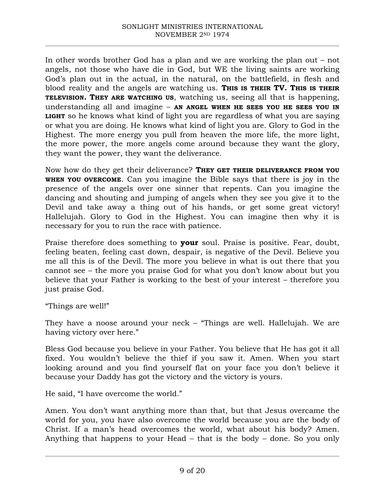In other words brother God has a plan and we are working the plan out – not angels, not those who have die in God, but WE the living saints are working God's plan out in the actual, in the natural, on the battlefield, in flesh and blood reality and the angels are watching us. **THIS IS THEIR TV. THIS IS THEIR TELEVISION. THEY ARE WATCHING US**, watching us, seeing all that is happening, understanding all and imagine – **AN ANGEL WHEN HE SEES YOU HE SEES YOU IN LIGHT** so he knows what kind of light you are regardless of what you are saying or what you are doing. He knows what kind of light you are. Glory to God in the Highest. The more energy you pull from heaven the more life, the more light, the more power, the more angels come around because they want the glory, they want the power, they want the deliverance.

Now how do they get their deliverance? **THEY GET THEIR DELIVERANCE FROM YOU WHEN YOU OVERCOME**. Can you imagine the Bible says that there is joy in the presence of the angels over one sinner that repents. Can you imagine the dancing and shouting and jumping of angels when they see you give it to the Devil and take away a thing out of his hands, or get some great victory! Hallelujah. Glory to God in the Highest. You can imagine then why it is necessary for you to run the race with patience.

Praise therefore does something to **your** soul. Praise is positive. Fear, doubt, feeling beaten, feeling cast down, despair, is negative of the Devil. Believe you me all this is of the Devil. The more you believe in what is out there that you cannot see – the more you praise God for what you don't know about but you believe that your Father is working to the best of your interest – therefore you just praise God.

"Things are well!"

They have a noose around your neck – "Things are well. Hallelujah. We are having victory over here."

Bless God because you believe in your Father. You believe that He has got it all fixed. You wouldn't believe the thief if you saw it. Amen. When you start looking around and you find yourself flat on your face you don't believe it because your Daddy has got the victory and the victory is yours.

He said, "I have overcome the world."

Amen. You don't want anything more than that, but that Jesus overcame the world for you, you have also overcome the world because you are the body of Christ. If a man's head overcomes the world, what about his body? Amen. Anything that happens to your Head – that is the body – done. So you only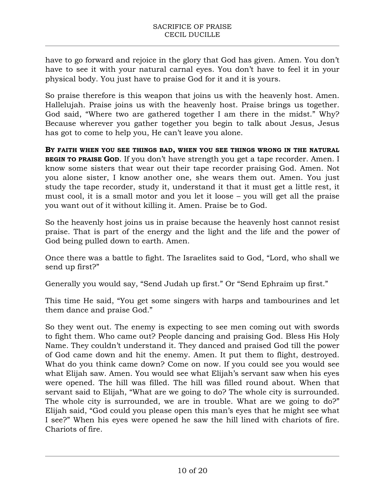have to go forward and rejoice in the glory that God has given. Amen. You don't have to see it with your natural carnal eyes. You don't have to feel it in your physical body. You just have to praise God for it and it is yours.

So praise therefore is this weapon that joins us with the heavenly host. Amen. Hallelujah. Praise joins us with the heavenly host. Praise brings us together. God said, "Where two are gathered together I am there in the midst." Why? Because wherever you gather together you begin to talk about Jesus, Jesus has got to come to help you, He can't leave you alone.

**BY FAITH WHEN YOU SEE THINGS BAD, WHEN YOU SEE THINGS WRONG IN THE NATURAL BEGIN TO PRAISE GOD.** If you don't have strength you get a tape recorder. Amen. I know some sisters that wear out their tape recorder praising God. Amen. Not you alone sister, I know another one, she wears them out. Amen. You just study the tape recorder, study it, understand it that it must get a little rest, it must cool, it is a small motor and you let it loose – you will get all the praise you want out of it without killing it. Amen. Praise be to God.

So the heavenly host joins us in praise because the heavenly host cannot resist praise. That is part of the energy and the light and the life and the power of God being pulled down to earth. Amen.

Once there was a battle to fight. The Israelites said to God, "Lord, who shall we send up first?"

Generally you would say, "Send Judah up first." Or "Send Ephraim up first."

This time He said, "You get some singers with harps and tambourines and let them dance and praise God."

So they went out. The enemy is expecting to see men coming out with swords to fight them. Who came out? People dancing and praising God. Bless His Holy Name. They couldn't understand it. They danced and praised God till the power of God came down and hit the enemy. Amen. It put them to flight, destroyed. What do you think came down? Come on now. If you could see you would see what Elijah saw. Amen. You would see what Elijah's servant saw when his eyes were opened. The hill was filled. The hill was filled round about. When that servant said to Elijah, "What are we going to do? The whole city is surrounded. The whole city is surrounded, we are in trouble. What are we going to do?" Elijah said, "God could you please open this man's eyes that he might see what I see?" When his eyes were opened he saw the hill lined with chariots of fire. Chariots of fire.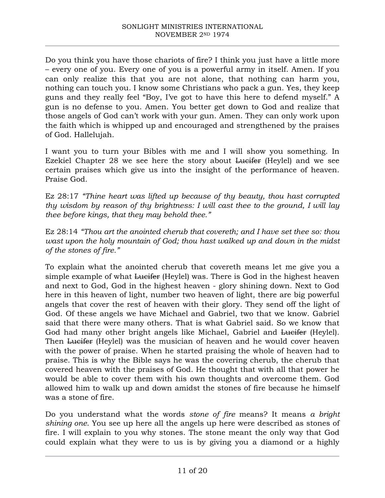Do you think you have those chariots of fire? I think you just have a little more – every one of you. Every one of you is a powerful army in itself. Amen. If you can only realize this that you are not alone, that nothing can harm you, nothing can touch you. I know some Christians who pack a gun. Yes, they keep guns and they really feel "Boy, I've got to have this here to defend myself." A gun is no defense to you. Amen. You better get down to God and realize that those angels of God can't work with your gun. Amen. They can only work upon the faith which is whipped up and encouraged and strengthened by the praises of God. Hallelujah.

I want you to turn your Bibles with me and I will show you something. In Ezekiel Chapter 28 we see here the story about Lucifer (Heylel) and we see certain praises which give us into the insight of the performance of heaven. Praise God.

Ez 28:17 *"Thine heart was lifted up because of thy beauty, thou hast corrupted thy wisdom by reason of thy brightness: I will cast thee to the ground, I will lay thee before kings, that they may behold thee."*

Ez 28:14 *"Thou art the anointed cherub that covereth; and I have set thee so: thou wast upon the holy mountain of God; thou hast walked up and down in the midst of the stones of fire."*

To explain what the anointed cherub that covereth means let me give you a simple example of what Lucifer (Heylel) was. There is God in the highest heaven and next to God, God in the highest heaven - glory shining down. Next to God here in this heaven of light, number two heaven of light, there are big powerful angels that cover the rest of heaven with their glory. They send off the light of God. Of these angels we have Michael and Gabriel, two that we know. Gabriel said that there were many others. That is what Gabriel said. So we know that God had many other bright angels like Michael, Gabriel and Lucifer (Heylel). Then Lucifer (Heylel) was the musician of heaven and he would cover heaven with the power of praise. When he started praising the whole of heaven had to praise. This is why the Bible says he was the covering cherub, the cherub that covered heaven with the praises of God. He thought that with all that power he would be able to cover them with his own thoughts and overcome them. God allowed him to walk up and down amidst the stones of fire because he himself was a stone of fire.

Do you understand what the words *stone of fire* means? It means *a bright shining one*. You see up here all the angels up here were described as stones of fire. I will explain to you why stones. The stone meant the only way that God could explain what they were to us is by giving you a diamond or a highly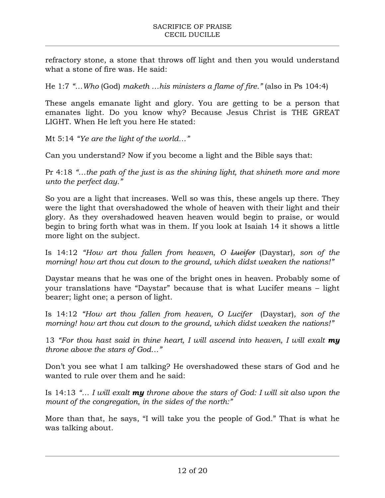refractory stone, a stone that throws off light and then you would understand what a stone of fire was. He said:

He 1:7 *"…Who* (God) *maketh …his ministers a flame of fire."* (also in Ps 104:4)

These angels emanate light and glory. You are getting to be a person that emanates light. Do you know why? Because Jesus Christ is THE GREAT LIGHT. When He left you here He stated:

Mt 5:14 *"Ye are the light of the world…"*

Can you understand? Now if you become a light and the Bible says that:

Pr 4:18 *"…the path of the just is as the shining light, that shineth more and more unto the perfect day."*

So you are a light that increases. Well so was this, these angels up there. They were the light that overshadowed the whole of heaven with their light and their glory. As they overshadowed heaven heaven would begin to praise, or would begin to bring forth what was in them. If you look at Isaiah 14 it shows a little more light on the subject.

Is 14:12 *"How art thou fallen from heaven, O Lucifer* (Daystar)*, son of the morning! how art thou cut down to the ground, which didst weaken the nations!"*

Daystar means that he was one of the bright ones in heaven. Probably some of your translations have "Daystar" because that is what Lucifer means – light bearer; light one; a person of light.

Is 14:12 *"How art thou fallen from heaven, O Lucifer* (Daystar)*, son of the morning! how art thou cut down to the ground, which didst weaken the nations!"*

13 *"For thou hast said in thine heart, I will ascend into heaven, I will exalt my throne above the stars of God…"*

Don't you see what I am talking? He overshadowed these stars of God and he wanted to rule over them and he said:

Is 14:13 *"… I will exalt my throne above the stars of God: I will sit also upon the mount of the congregation, in the sides of the north:"*

More than that, he says, "I will take you the people of God." That is what he was talking about.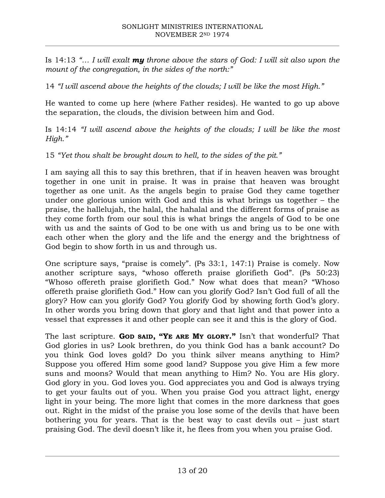Is 14:13 *"… I will exalt my throne above the stars of God: I will sit also upon the mount of the congregation, in the sides of the north:"*

14 *"I will ascend above the heights of the clouds; I will be like the most High."*

He wanted to come up here (where Father resides). He wanted to go up above the separation, the clouds, the division between him and God.

Is 14:14 *"I will ascend above the heights of the clouds; I will be like the most High."*

15 *"Yet thou shalt be brought down to hell, to the sides of the pit."*

I am saying all this to say this brethren, that if in heaven heaven was brought together in one unit in praise. It was in praise that heaven was brought together as one unit. As the angels begin to praise God they came together under one glorious union with God and this is what brings us together – the praise, the hallelujah, the halal, the hahalal and the different forms of praise as they come forth from our soul this is what brings the angels of God to be one with us and the saints of God to be one with us and bring us to be one with each other when the glory and the life and the energy and the brightness of God begin to show forth in us and through us.

One scripture says, "praise is comely". (Ps 33:1, 147:1) Praise is comely. Now another scripture says, "whoso offereth praise glorifieth God". (Ps 50:23) "Whoso offereth praise glorifieth God." Now what does that mean? "Whoso offereth praise glorifieth God." How can you glorify God? Isn't God full of all the glory? How can you glorify God? You glorify God by showing forth God's glory. In other words you bring down that glory and that light and that power into a vessel that expresses it and other people can see it and this is the glory of God.

The last scripture. **GOD SAID, "YE ARE MY GLORY."** Isn't that wonderful? That God glories in us? Look brethren, do you think God has a bank account? Do you think God loves gold? Do you think silver means anything to Him? Suppose you offered Him some good land? Suppose you give Him a few more suns and moons? Would that mean anything to Him? No. You are His glory. God glory in you. God loves you. God appreciates you and God is always trying to get your faults out of you. When you praise God you attract light, energy light in your being. The more light that comes in the more darkness that goes out. Right in the midst of the praise you lose some of the devils that have been bothering you for years. That is the best way to cast devils out  $-$  just start praising God. The devil doesn't like it, he flees from you when you praise God.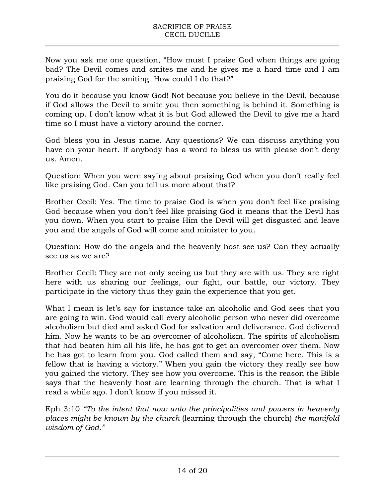Now you ask me one question, "How must I praise God when things are going bad? The Devil comes and smites me and he gives me a hard time and I am praising God for the smiting. How could I do that?"

You do it because you know God! Not because you believe in the Devil, because if God allows the Devil to smite you then something is behind it. Something is coming up. I don't know what it is but God allowed the Devil to give me a hard time so I must have a victory around the corner.

God bless you in Jesus name. Any questions? We can discuss anything you have on your heart. If anybody has a word to bless us with please don't deny us. Amen.

Question: When you were saying about praising God when you don't really feel like praising God. Can you tell us more about that?

Brother Cecil: Yes. The time to praise God is when you don't feel like praising God because when you don't feel like praising God it means that the Devil has you down. When you start to praise Him the Devil will get disgusted and leave you and the angels of God will come and minister to you.

Question: How do the angels and the heavenly host see us? Can they actually see us as we are?

Brother Cecil: They are not only seeing us but they are with us. They are right here with us sharing our feelings, our fight, our battle, our victory. They participate in the victory thus they gain the experience that you get.

What I mean is let's say for instance take an alcoholic and God sees that you are going to win. God would call every alcoholic person who never did overcome alcoholism but died and asked God for salvation and deliverance. God delivered him. Now he wants to be an overcomer of alcoholism. The spirits of alcoholism that had beaten him all his life, he has got to get an overcomer over them. Now he has got to learn from you. God called them and say, "Come here. This is a fellow that is having a victory." When you gain the victory they really see how you gained the victory. They see how you overcome. This is the reason the Bible says that the heavenly host are learning through the church. That is what I read a while ago. I don't know if you missed it.

Eph 3:10 *"To the intent that now unto the principalities and powers in heavenly places might be known by the church* (learning through the church) *the manifold wisdom of God."*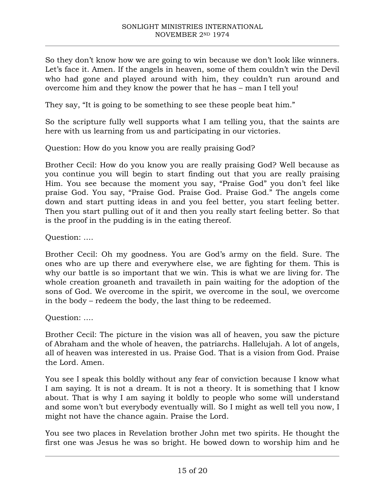So they don't know how we are going to win because we don't look like winners. Let's face it. Amen. If the angels in heaven, some of them couldn't win the Devil who had gone and played around with him, they couldn't run around and overcome him and they know the power that he has – man I tell you!

They say, "It is going to be something to see these people beat him."

So the scripture fully well supports what I am telling you, that the saints are here with us learning from us and participating in our victories.

Question: How do you know you are really praising God?

Brother Cecil: How do you know you are really praising God? Well because as you continue you will begin to start finding out that you are really praising Him. You see because the moment you say, "Praise God" you don't feel like praise God. You say, "Praise God. Praise God. Praise God." The angels come down and start putting ideas in and you feel better, you start feeling better. Then you start pulling out of it and then you really start feeling better. So that is the proof in the pudding is in the eating thereof.

Question: ….

Brother Cecil: Oh my goodness. You are God's army on the field. Sure. The ones who are up there and everywhere else, we are fighting for them. This is why our battle is so important that we win. This is what we are living for. The whole creation groaneth and travaileth in pain waiting for the adoption of the sons of God. We overcome in the spirit, we overcome in the soul, we overcome in the body – redeem the body, the last thing to be redeemed.

Question: ….

Brother Cecil: The picture in the vision was all of heaven, you saw the picture of Abraham and the whole of heaven, the patriarchs. Hallelujah. A lot of angels, all of heaven was interested in us. Praise God. That is a vision from God. Praise the Lord. Amen.

You see I speak this boldly without any fear of conviction because I know what I am saying. It is not a dream. It is not a theory. It is something that I know about. That is why I am saying it boldly to people who some will understand and some won't but everybody eventually will. So I might as well tell you now, I might not have the chance again. Praise the Lord.

You see two places in Revelation brother John met two spirits. He thought the first one was Jesus he was so bright. He bowed down to worship him and he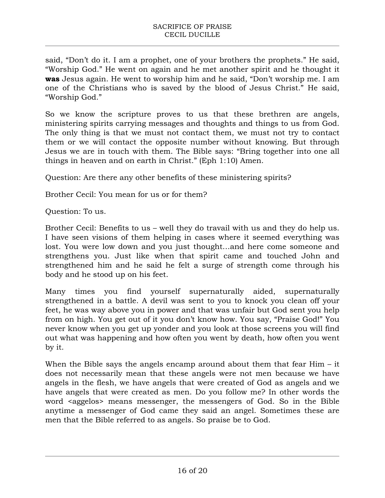said, "Don't do it. I am a prophet, one of your brothers the prophets." He said, "Worship God." He went on again and he met another spirit and he thought it **was** Jesus again. He went to worship him and he said, "Don't worship me. I am one of the Christians who is saved by the blood of Jesus Christ." He said, "Worship God."

So we know the scripture proves to us that these brethren are angels, ministering spirits carrying messages and thoughts and things to us from God. The only thing is that we must not contact them, we must not try to contact them or we will contact the opposite number without knowing. But through Jesus we are in touch with them. The Bible says: "Bring together into one all things in heaven and on earth in Christ." (Eph 1:10) Amen.

Question: Are there any other benefits of these ministering spirits?

Brother Cecil: You mean for us or for them?

Question: To us.

Brother Cecil: Benefits to us – well they do travail with us and they do help us. I have seen visions of them helping in cases where it seemed everything was lost. You were low down and you just thought…and here come someone and strengthens you. Just like when that spirit came and touched John and strengthened him and he said he felt a surge of strength come through his body and he stood up on his feet.

Many times you find yourself supernaturally aided, supernaturally strengthened in a battle. A devil was sent to you to knock you clean off your feet, he was way above you in power and that was unfair but God sent you help from on high. You get out of it you don't know how. You say, "Praise God!" You never know when you get up yonder and you look at those screens you will find out what was happening and how often you went by death, how often you went by it.

When the Bible says the angels encamp around about them that fear Him – it does not necessarily mean that these angels were not men because we have angels in the flesh, we have angels that were created of God as angels and we have angels that were created as men. Do you follow me? In other words the word <aggelos> means messenger, the messengers of God. So in the Bible anytime a messenger of God came they said an angel. Sometimes these are men that the Bible referred to as angels. So praise be to God.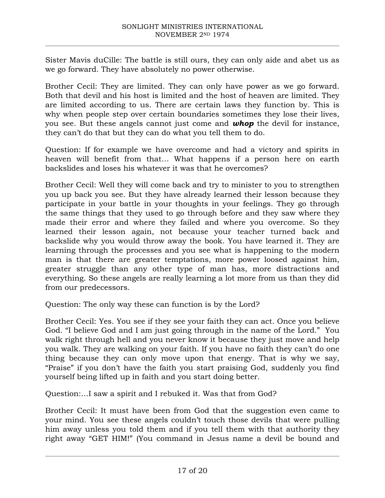Sister Mavis duCille: The battle is still ours, they can only aide and abet us as we go forward. They have absolutely no power otherwise.

Brother Cecil: They are limited. They can only have power as we go forward. Both that devil and his host is limited and the host of heaven are limited. They are limited according to us. There are certain laws they function by. This is why when people step over certain boundaries sometimes they lose their lives, you see. But these angels cannot just come and *whop* the devil for instance, they can't do that but they can do what you tell them to do.

Question: If for example we have overcome and had a victory and spirits in heaven will benefit from that… What happens if a person here on earth backslides and loses his whatever it was that he overcomes?

Brother Cecil: Well they will come back and try to minister to you to strengthen you up back you see. But they have already learned their lesson because they participate in your battle in your thoughts in your feelings. They go through the same things that they used to go through before and they saw where they made their error and where they failed and where you overcome. So they learned their lesson again, not because your teacher turned back and backslide why you would throw away the book. You have learned it. They are learning through the processes and you see what is happening to the modern man is that there are greater temptations, more power loosed against him, greater struggle than any other type of man has, more distractions and everything. So these angels are really learning a lot more from us than they did from our predecessors.

Question: The only way these can function is by the Lord?

Brother Cecil: Yes. You see if they see your faith they can act. Once you believe God. "I believe God and I am just going through in the name of the Lord." You walk right through hell and you never know it because they just move and help you walk. They are walking on your faith. If you have no faith they can't do one thing because they can only move upon that energy. That is why we say, "Praise" if you don't have the faith you start praising God, suddenly you find yourself being lifted up in faith and you start doing better.

Question:…I saw a spirit and I rebuked it. Was that from God?

Brother Cecil: It must have been from God that the suggestion even came to your mind. You see these angels couldn't touch those devils that were pulling him away unless you told them and if you tell them with that authority they right away "GET HIM!" (You command in Jesus name a devil be bound and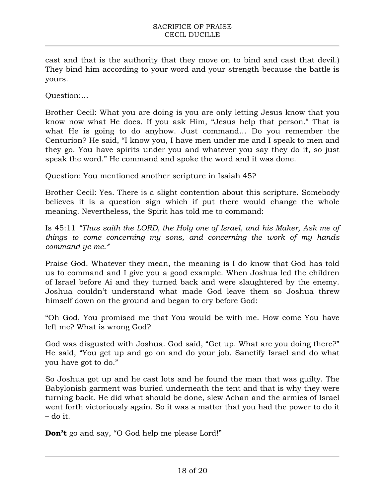cast and that is the authority that they move on to bind and cast that devil.) They bind him according to your word and your strength because the battle is yours.

Question:…

Brother Cecil: What you are doing is you are only letting Jesus know that you know now what He does. If you ask Him, "Jesus help that person." That is what He is going to do anyhow. Just command… Do you remember the Centurion? He said, "I know you, I have men under me and I speak to men and they go. You have spirits under you and whatever you say they do it, so just speak the word." He command and spoke the word and it was done.

Question: You mentioned another scripture in Isaiah 45?

Brother Cecil: Yes. There is a slight contention about this scripture. Somebody believes it is a question sign which if put there would change the whole meaning. Nevertheless, the Spirit has told me to command:

Is 45:11 *"Thus saith the LORD, the Holy one of Israel, and his Maker, Ask me of things to come concerning my sons, and concerning the work of my hands command ye me."*

Praise God. Whatever they mean, the meaning is I do know that God has told us to command and I give you a good example. When Joshua led the children of Israel before Ai and they turned back and were slaughtered by the enemy. Joshua couldn't understand what made God leave them so Joshua threw himself down on the ground and began to cry before God:

"Oh God, You promised me that You would be with me. How come You have left me? What is wrong God?

God was disgusted with Joshua. God said, "Get up. What are you doing there?" He said, "You get up and go on and do your job. Sanctify Israel and do what you have got to do."

So Joshua got up and he cast lots and he found the man that was guilty. The Babylonish garment was buried underneath the tent and that is why they were turning back. He did what should be done, slew Achan and the armies of Israel went forth victoriously again. So it was a matter that you had the power to do it – do it.

**Don't** go and say, "O God help me please Lord!"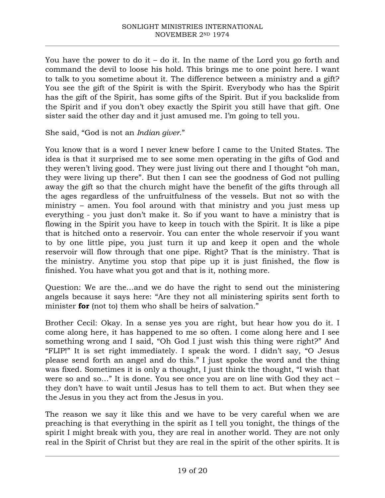You have the power to do it – do it. In the name of the Lord you go forth and command the devil to loose his hold. This brings me to one point here. I want to talk to you sometime about it. The difference between a ministry and a gift? You see the gift of the Spirit is with the Spirit. Everybody who has the Spirit has the gift of the Spirit, has some gifts of the Spirit. But if you backslide from the Spirit and if you don't obey exactly the Spirit you still have that gift. One sister said the other day and it just amused me. I'm going to tell you.

She said, "God is not an *Indian giver*."

You know that is a word I never knew before I came to the United States. The idea is that it surprised me to see some men operating in the gifts of God and they weren't living good. They were just living out there and I thought "oh man, they were living up there". But then I can see the goodness of God not pulling away the gift so that the church might have the benefit of the gifts through all the ages regardless of the unfruitfulness of the vessels. But not so with the ministry – amen. You fool around with that ministry and you just mess up everything - you just don't make it. So if you want to have a ministry that is flowing in the Spirit you have to keep in touch with the Spirit. It is like a pipe that is hitched onto a reservoir. You can enter the whole reservoir if you want to by one little pipe, you just turn it up and keep it open and the whole reservoir will flow through that one pipe. Right? That is the ministry. That is the ministry. Anytime you stop that pipe up it is just finished, the flow is finished. You have what you got and that is it, nothing more.

Question: We are the…and we do have the right to send out the ministering angels because it says here: "Are they not all ministering spirits sent forth to minister **for** (not to) them who shall be heirs of salvation."

Brother Cecil: Okay. In a sense yes you are right, but hear how you do it. I come along here, it has happened to me so often. I come along here and I see something wrong and I said, "Oh God I just wish this thing were right?" And "FLIP!" It is set right immediately. I speak the word. I didn't say, "O Jesus please send forth an angel and do this." I just spoke the word and the thing was fixed. Sometimes it is only a thought, I just think the thought, "I wish that were so and so…" It is done. You see once you are on line with God they act – they don't have to wait until Jesus has to tell them to act. But when they see the Jesus in you they act from the Jesus in you.

The reason we say it like this and we have to be very careful when we are preaching is that everything in the spirit as I tell you tonight, the things of the spirit I might break with you, they are real in another world. They are not only real in the Spirit of Christ but they are real in the spirit of the other spirits. It is